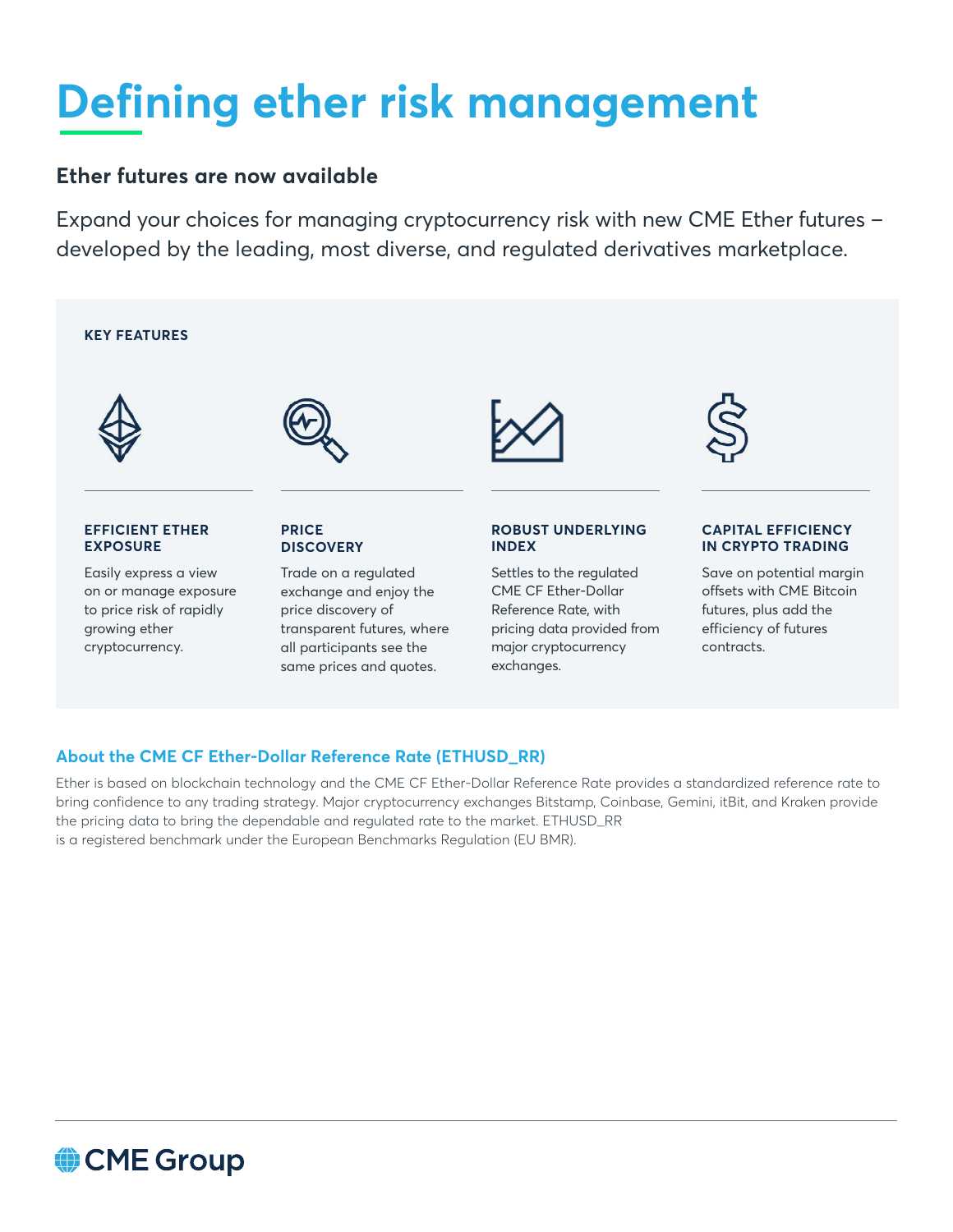# **Defining ether risk management**

### **Ether futures are now available**

Expand your choices for managing cryptocurrency risk with new CME Ether futures developed by the leading, most diverse, and regulated derivatives marketplace.



exchanges.

### **About the CME CF Ether-Dollar Reference Rate (ETHUSD\_RR)**

same prices and quotes.

Ether is based on blockchain technology and the CME CF Ether-Dollar Reference Rate provides a standardized reference rate to bring confidence to any trading strategy. Major cryptocurrency exchanges Bitstamp, Coinbase, Gemini, itBit, and Kraken provide the pricing data to bring the dependable and regulated rate to the market. ETHUSD\_RR is a registered benchmark under the European Benchmarks Regulation (EU BMR).

## CME Group